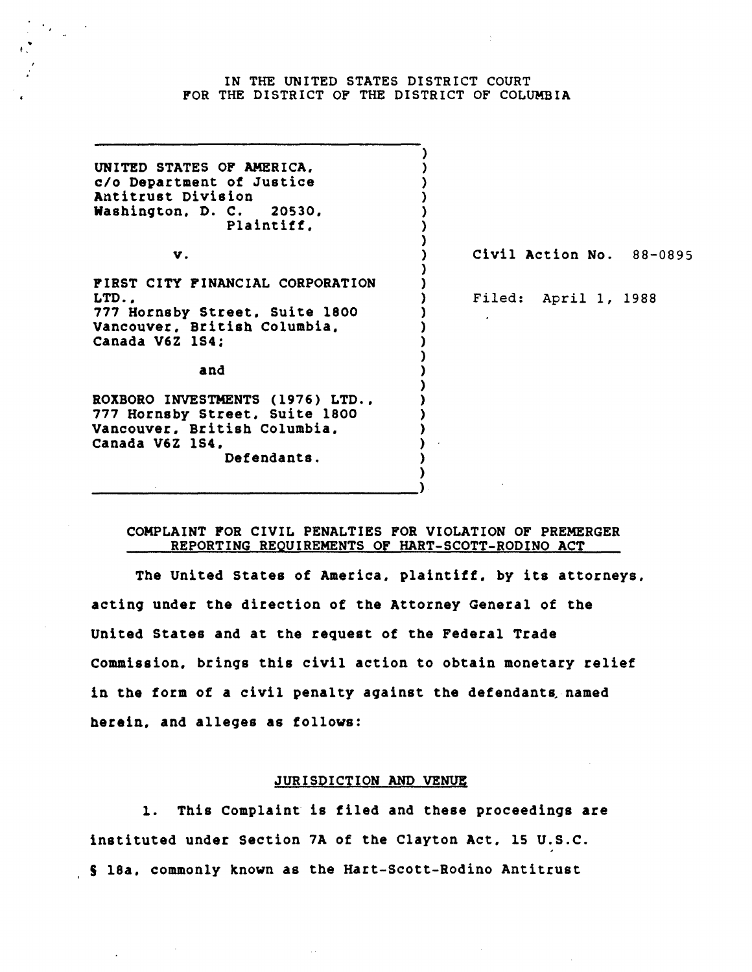### IN THE UNITED STATES DISTRICT COURT FOR THE DISTRICT OF THE DISTRICT OF COLUMBIA

 $\mathbf{r}$ 

| UNITED STATES OF AMERICA,<br>c/o Department of Justice<br>Antitrust Division<br>Washington, D. C. 20530,<br>Plaintiff.               |                          |
|--------------------------------------------------------------------------------------------------------------------------------------|--------------------------|
| V.                                                                                                                                   | Civil Action No. 88-0895 |
| FIRST CITY FINANCIAL CORPORATION<br>LTD<br>777 Hornsby Street, Suite 1800<br>Vancouver, British Columbia,<br>Canada V6Z 1S4:<br>and  | Filed: April 1, 1988     |
| ROXBORO INVESTMENTS (1976) LTD.,<br>777 Hornsby Street, Suite 1800<br>Vancouver, British Columbia,<br>Canada V6Z 1S4.<br>Defendants. |                          |

## COMPLAINT FOR CIVIL PENALTIES FOR VIOLATION OF PREMERGER REPORTING REQUIREMENTS OF HART-SCOTT-RODINO ACT

The United States of America. plaintiff. by its attorneys. acting under the direction of the Attorney General of the United States and at the request of the Federal Trade Commission. brings this civil action to obtain monetary relief in the form of a civil penalty against the defendants named herein. and alleges as follows:

# JURISDICTION AND VENUE

1. This Complaint is tiled and these proceedings are instituted under Section 7A of the Clayton Act. 15 U.S.C. S 18a. commonly known as the Hart-Scott-Rodino Antitrust

 $\mathcal{L}^{\text{max}}_{\text{max}}$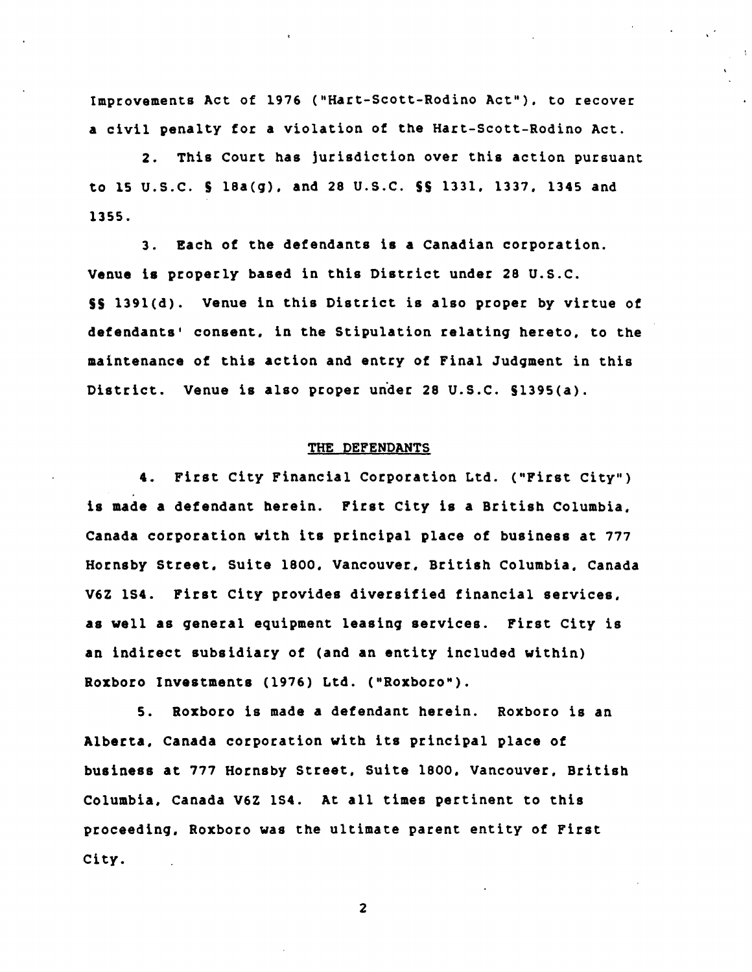Improvements Act of 1976 ("Hart-Scott-Rodino Act"). to recover a civil penalty for a violation of the Hart-Scott-Rodino Act.

2. This court has jurisdiction over this action pursuant to 15 U.S.C. S l8a(q). and 28 U.S.C. SS 1331. 1337. 1345 and 1355.

3. Each of the defendants i8 a Canadian corporation. Venue i8 properly based in this District under 28 U.S.C. SS l39l(d). Venue in this District is also proper by virtue of defendants' consent. in the Stipulation relatinq hereto. to the maintenance of this action and entry of Final Judqment in this District. Venue is also proper under 28 U.S.C. S1395(a).

### THE DEFENDANTS

4. First City Financial Corporation Ltd. ("First City") is made a defendant herein. First City is a British Columbia. Canada corporation with its principal place of business at 777 Hornsby Street. Suite 1800. Vancouver. British Columbia. Canada V6Z lS4. First City provides diversified financial services, as well as qeneral equipment leasinq services. First City is an indirect subsidiary of (and an entity included within) Roxboro Investments (1976) Ltd. ("Roxboro").

5. Roxboro is made a defendant herein. Roxboro is an Alberta. Canada corporation with its principal place of business at 777 Hornsby Street, Suite 1800. Vancouver. British Columbia, Canada V6Z lS4. At all times pertinent to this proceedinq. Roxboro was the ultimate parent entity of First City.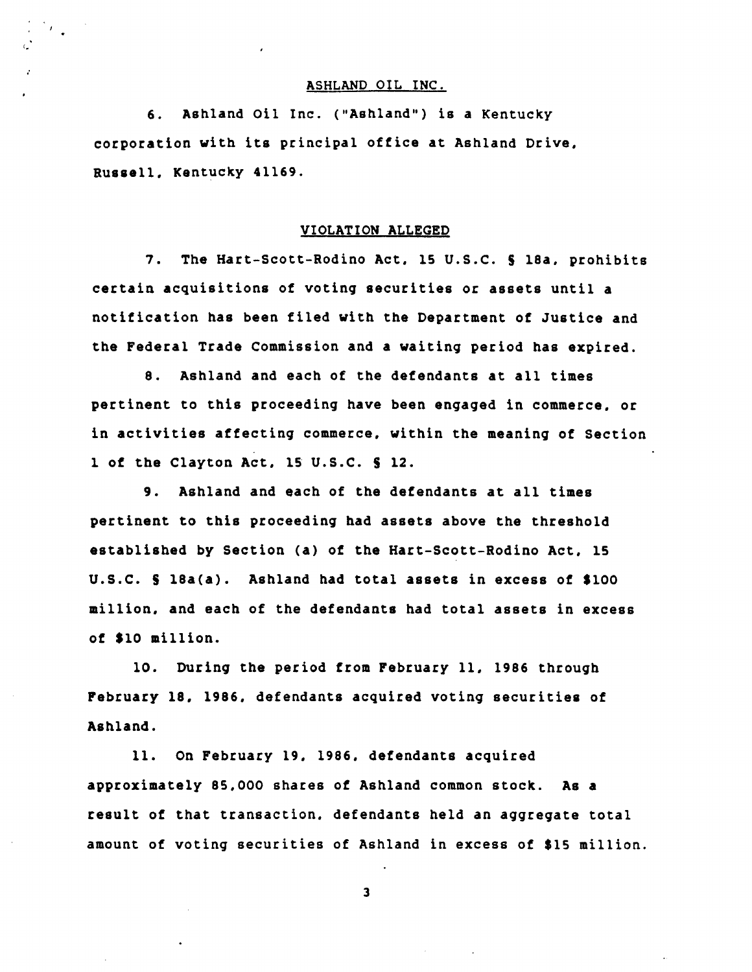## ASHLAND OIL INC.

6. Ashland Oil Inc. ("Ashland") is a Kentucky corporation with its principal oftice at Ashland Drive. Russell. Kentucky 41169.

I.

# VIOLATION ALLEGED

7. The Hart-Scott-Rodino Act. 15 U.S.C. S 18a. prohibits certain acquisitions of votinq securities or assets until a notification has been filed with the Department of Justice and the Federal Trade Commission and a waitinq period has expired.

8. Ashland and each of the defendants at all times pertinent to this proceedinq have been enqaqed in commerce. or in activities affectinq commerce. within the meaninq of Section 1 of the Clayton Act, 15 U.S.C. § 12.

9. Ashland and each of the defendants at all times pertinent to this proceedinq had assets above the threshold established by Section (a) of the Hart-Scott-Rodino Act. 15 U.S.C. S 18a(a). Ashland had total assets in excess of \$100 million, and each of the defendants had total assets in excess of \$10 million.

10. Durinq the period from February 11, 1986 throuqh February 18, 1986. defendants acquired votinq securities of Ashland.

11. On February 19. 1986, defendants acquired approximately 85.000 shares of Ashland common stock. As a result of that transaction. defendants held an aqqreqate total amount of votinq securities of Ashland in excess of \$15 million.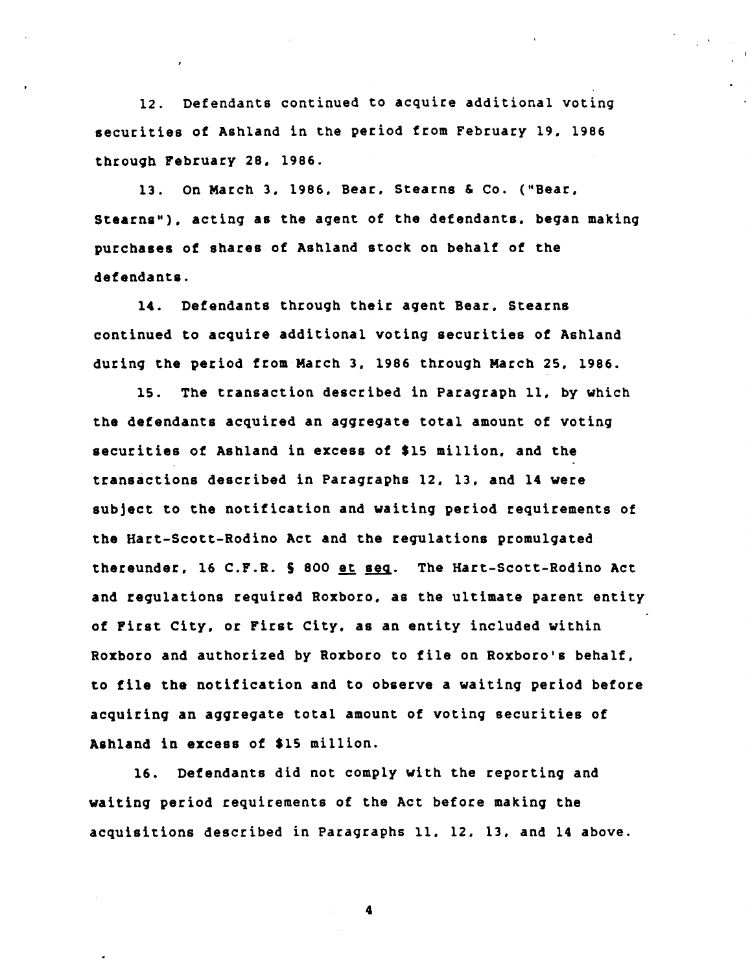12. Defendants continued to acquire additional voting securities of Ashland in the period from February 19. 1986 through February 28. 1986.

13. On March 3. 1986. Bear. Stearns & Co. ("Bear. Stearns"). acting as the agent of the defendants. began making purchases of shares of Ashland stock on behalf of the defendants.

14. Defendants through their agent Bear. Stearns continued to acquire additional voting securities of Ashland during the period from March 3. 1986 through March 25. 1986.

15. The transaction described in Paragraph 11. by which the defendants acquired an aggregate total amount of voting securities of Ashland in excess of \$15 million. and the transactions described in Paragraphs 12. 13. and 14 were subject to the notification and waiting period requirements of the Hart-Scott-Rodino Act and the requlations promulgated thereunder, 16 C.F.R. § 800 et seq. The Hart-Scott-Rodino Act and regulations required Roxboro. as the ultimate parent entity of First City. or First City. as an entity included within Roxboro and authorized by Roxboro to file on Roxboro's behalf. to file the notification and to observe a waiting period before acquiring an aggregate total amount of voting securities of Ashland in excess of \$15 million.

16. Defendants did not comply with the reporting and waiting period requirements of the Act before making the acquisitions described in Paragraphs 11. 12. 13. and 14 above.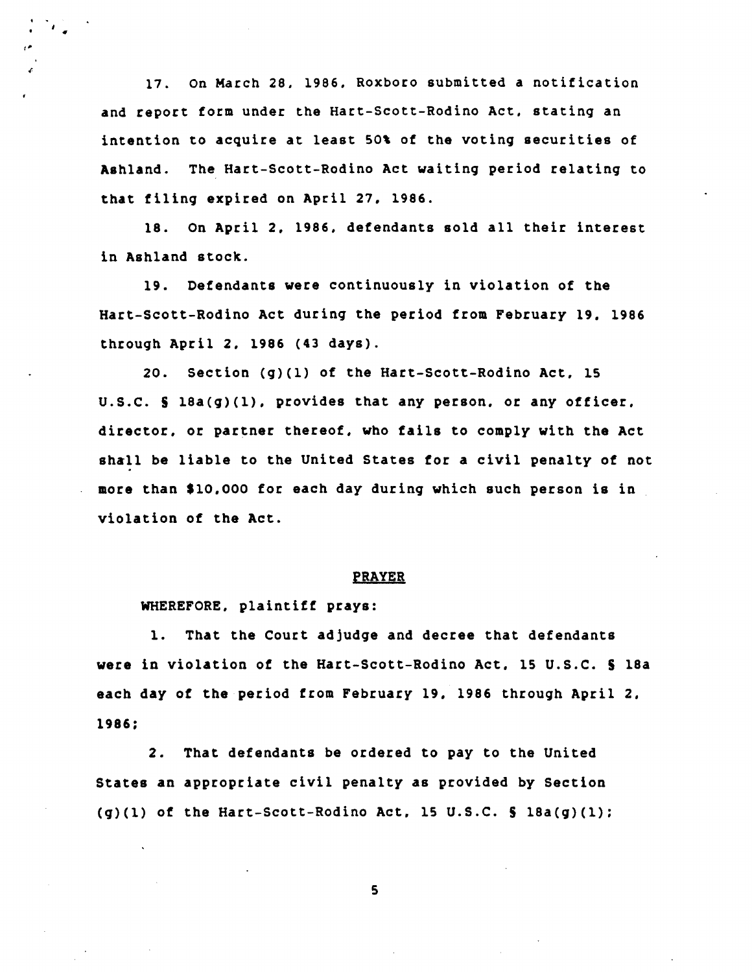17. On March 28. 1986. Roxboro submitted a notification and report form under the Hart-Scott-Rodino Act. statinq an intention to acquire at least 50% of the voting securities of Ashland. The Hart-Scott-Rodino Act waitinq period relatinq to that filinq expired on April 27. 1986.

18. On April 2. 1986. defendants sold all their interest in Ashland stock.

19. Defendants were continuously in violation of the Hart-Scott-Rodino Act durinq the period from February 19. 1986 throuqh April 2. 1986 (43 days).

20. Section *(q)(l)* of the Hart-Scott-Rodino Act. 15 U.S.C. 5 18a(q)(1). provides that any person. or any officer. director. or partner thereof. who fails to comply with the Act shall be liable to the United States for a civil penalty of not more than \$10.000 for each day durinq which such person is in violation of the Act.

#### PRAYER

WHEREFORE. plaintiff prays:

1. That the Court adjudqe and decree that defendants were in violation of the Hart-Scott-Rodino Act. 15 U.S.C. 5 18a each day of the period from February 19. 1986 throuqh April 2. 1986;

2. That defendants be ordered to pay to the United States an appropriate civil penalty as provided by Section  $(q)(1)$  of the Hart-Scott-Rodino Act, 15 U.S.C.  $\frac{1}{2}$  18a(q)(1);